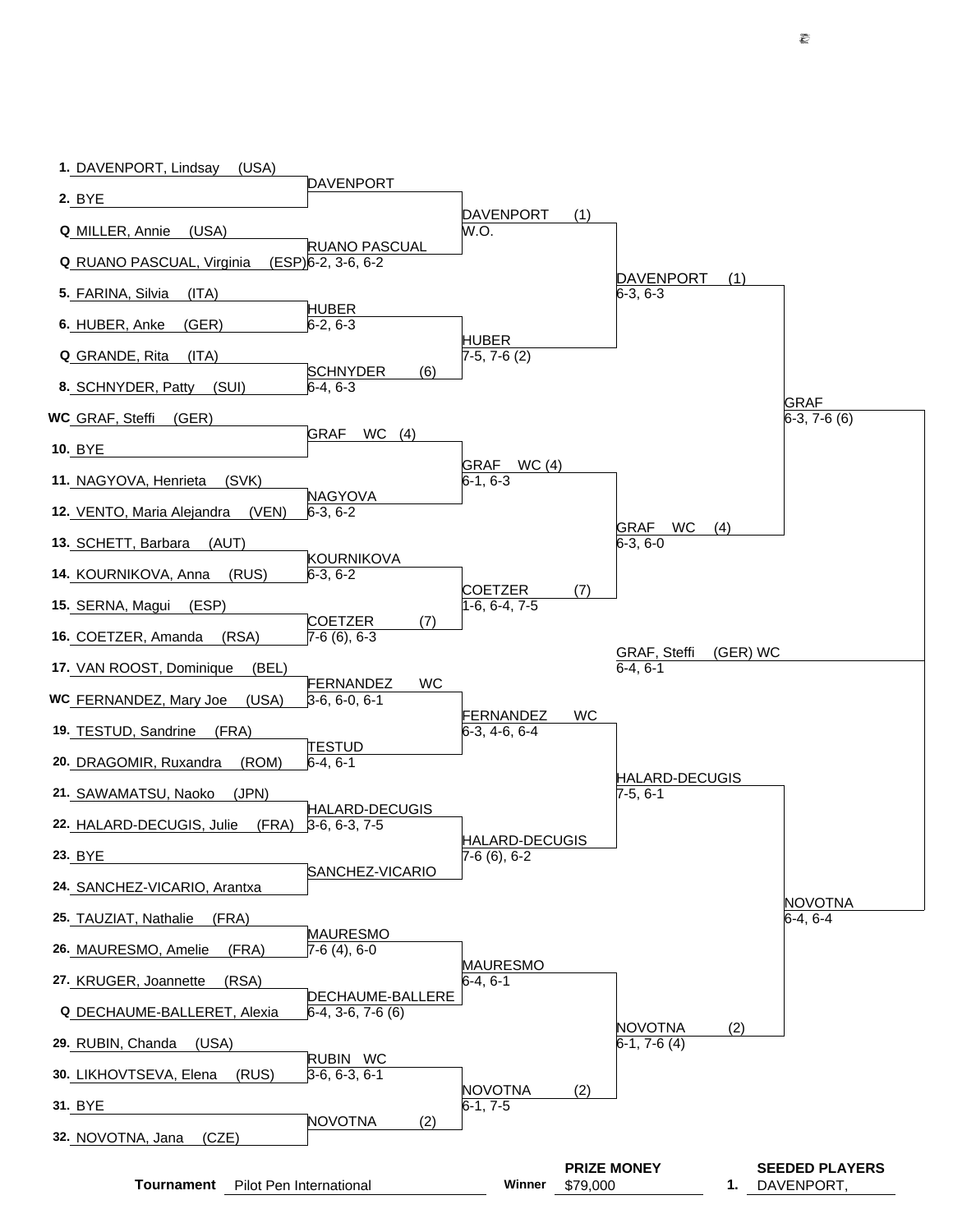| 1. DAVENPORT, Lindsay<br>(USA)      | DAVENPORT                                    |                                       |                                |                                |          |                                     |
|-------------------------------------|----------------------------------------------|---------------------------------------|--------------------------------|--------------------------------|----------|-------------------------------------|
| 2. BYE                              |                                              |                                       |                                |                                |          |                                     |
| (USA)<br>Q MILLER, Annie            |                                              | <b>DAVENPORT</b><br>W.O.              | (1)                            |                                |          |                                     |
| <b>Q</b> RUANO PASCUAL, Virginia    | <b>RUANO PASCUAL</b><br>$(ESP)6-2, 3-6, 6-2$ |                                       |                                |                                |          |                                     |
| 5. FARINA, Silvia<br>(ITA)          |                                              |                                       |                                | <b>DAVENPORT</b><br>$6-3, 6-3$ | (1)      |                                     |
| (GER)<br>6. HUBER, Anke             | <b>HUBER</b><br>$6-2, 6-3$                   |                                       |                                |                                |          |                                     |
|                                     |                                              | <b>HUBER</b>                          |                                |                                |          |                                     |
| <b>Q</b> GRANDE, Rita<br>(ITA)      | <b>SCHNYDER</b><br>(6)                       | $7-5, 7-6(2)$                         |                                |                                |          |                                     |
| 8. SCHNYDER, Patty<br>(SUI)         | $6-4, 6-3$                                   |                                       |                                |                                |          | <b>GRAF</b>                         |
| WC GRAF, Steffi<br>(GER)            | <b>GRAF</b><br>WC<br>(4)                     |                                       |                                |                                |          | $6-3, 7-6(6)$                       |
| <b>10. BYE</b>                      |                                              | GRAF WC (4)                           |                                |                                |          |                                     |
| (SVK)<br>11. NAGYOVA, Henrieta      |                                              | $6-1, 6-3$                            |                                |                                |          |                                     |
| 12. VENTO, Maria Alejandra<br>(VEN) | <b>NAGYOVA</b><br>$6-3, 6-2$                 |                                       |                                |                                |          |                                     |
| 13. SCHETT, Barbara<br>(AUT)        |                                              |                                       |                                | GRAF<br>WC<br>$6-3, 6-0$       | (4)      |                                     |
| 14. KOURNIKOVA, Anna<br>(RUS)       | KOURNIKOVA<br>$6-3, 6-2$                     |                                       |                                |                                |          |                                     |
| 15. SERNA, Magui<br>(ESP)           |                                              | <b>COETZER</b><br>1-6, 6-4, 7-5       | (7)                            |                                |          |                                     |
| (RSA)<br>16. COETZER, Amanda        | <b>COETZER</b><br>(7)<br>$7-6(6), 6-3$       |                                       |                                |                                |          |                                     |
|                                     |                                              |                                       |                                | GRAF, Steffi                   | (GER) WC |                                     |
| 17. VAN ROOST, Dominique<br>(BEL)   | <b>WC</b><br>FERNANDEZ                       |                                       |                                | $6-4, 6-1$                     |          |                                     |
| WC FERNANDEZ, Mary Joe<br>(USA)     | $3-6, 6-0, 6-1$                              | FERNANDEZ                             | WC                             |                                |          |                                     |
| 19. TESTUD, Sandrine<br>(FRA)       | <b>TESTUD</b>                                | $6-3, 4-6, 6-4$                       |                                |                                |          |                                     |
| (ROM)<br>20. DRAGOMIR, Ruxandra     | $6-4, 6-1$                                   |                                       |                                | HALARD-DECUGIS                 |          |                                     |
| (JPN)<br>21. SAWAMATSU, Naoko       | HALARD-DECUGIS                               |                                       |                                | $7-5, 6-1$                     |          |                                     |
| (FRA)<br>22. HALARD-DECUGIS, Julie  | $3-6, 6-3, 7-5$                              |                                       |                                |                                |          |                                     |
| 23. BYE                             |                                              | <b>HALARD-DECUGIS</b><br>7-6 (6), 6-2 |                                |                                |          |                                     |
| 24. SANCHEZ-VICARIO, Arantxa        | SANCHEZ-VICARIO                              |                                       |                                |                                |          |                                     |
| 25. TAUZIAT, Nathalie<br>(FRA)      |                                              |                                       |                                |                                |          | <b>NOVOTNA</b><br>$6-4, 6-4$        |
| 26. MAURESMO, Amelie<br>(FRA)       | <b>MAURESMO</b><br>$7-6(4), 6-0$             |                                       |                                |                                |          |                                     |
| 27. KRUGER, Joannette<br>(RSA)      |                                              | <b>MAURESMO</b><br>$6-4, 6-1$         |                                |                                |          |                                     |
|                                     | DECHAUME-BALLERE                             |                                       |                                |                                |          |                                     |
| Q DECHAUME-BALLERET, Alexia         | $6-4, 3-6, 7-6$ (6)                          |                                       |                                | <b>NOVOTNA</b>                 | (2)      |                                     |
| 29. RUBIN, Chanda<br>(USA)          | RUBIN WC                                     |                                       |                                | $6-1, 7-6(4)$                  |          |                                     |
| (RUS)<br>30. LIKHOVTSEVA, Elena     | $3-6, 6-3, 6-1$                              | <b>NOVOTNA</b>                        | (2)                            |                                |          |                                     |
| 31. BYE                             | <b>NOVOTNA</b><br>(2)                        | $6-1, 7-5$                            |                                |                                |          |                                     |
| (CZE)<br>32. NOVOTNA, Jana          |                                              |                                       |                                |                                |          |                                     |
| <b>Tournament</b>                   | Pilot Pen International                      | Winner                                | <b>PRIZE MONEY</b><br>\$79,000 |                                | 1.       | <b>SEEDED PLAYERS</b><br>DAVENPORT, |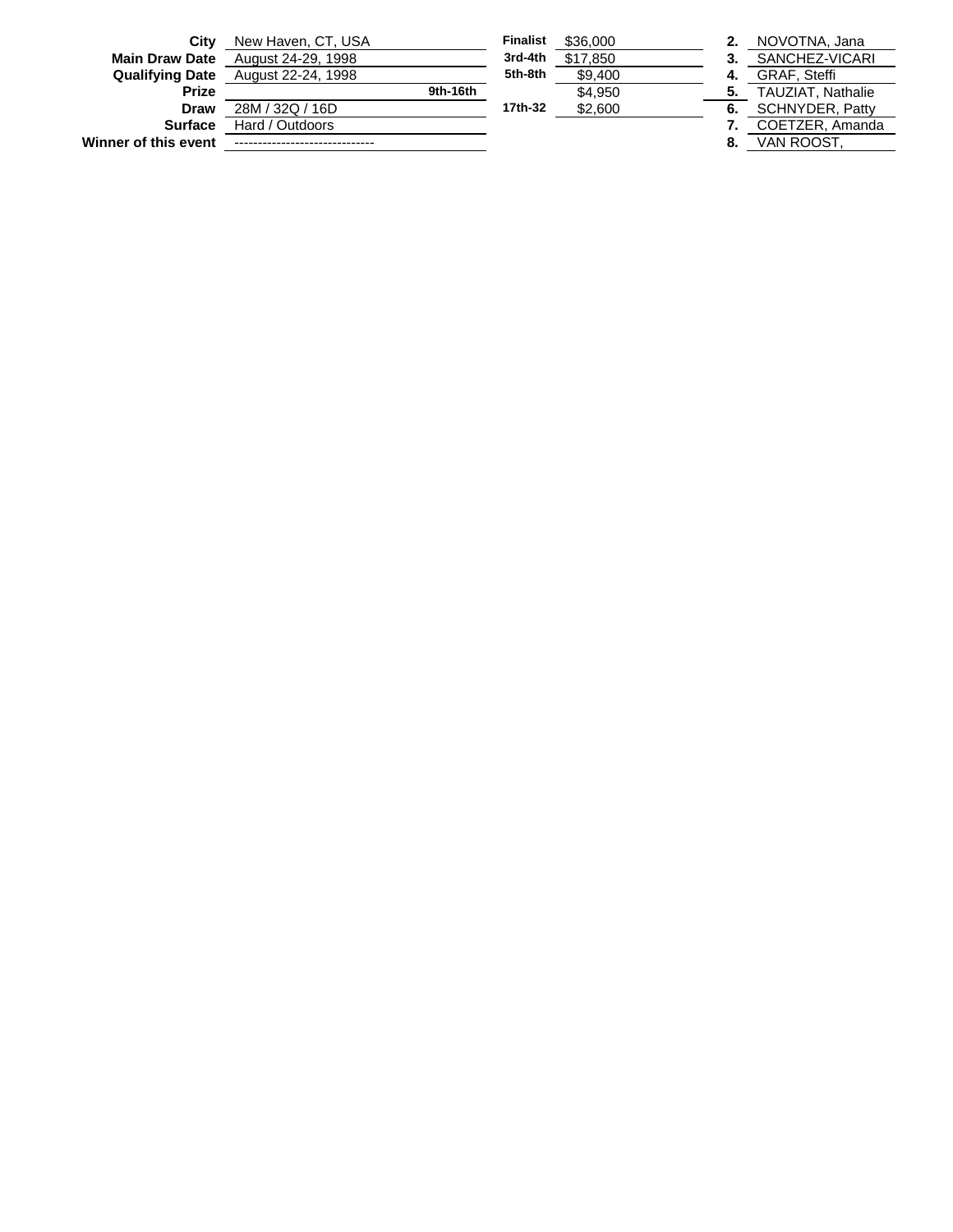| Winner of this event   |                    |          |                 |          | 8.  | VAN ROOST.               |
|------------------------|--------------------|----------|-----------------|----------|-----|--------------------------|
| <b>Surface</b>         | Hard / Outdoors    |          |                 |          |     | COETZER, Amanda          |
| Draw                   | 28M / 32Q / 16D    |          | 17th-32         | \$2,600  | 6.  | <b>SCHNYDER, Patty</b>   |
| <b>Prize</b>           |                    | 9th-16th |                 | \$4.950  | 5.  | <b>TAUZIAT, Nathalie</b> |
| <b>Qualifying Date</b> | August 22-24, 1998 |          | 5th-8th         | \$9,400  | -4. | <b>GRAF, Steffi</b>      |
| <b>Main Draw Date</b>  | August 24-29, 1998 |          | 3rd-4th         | \$17.850 | 3.  | SANCHEZ-VICARI           |
| City                   | New Haven, CT, USA |          | <b>Finalist</b> | \$36,000 | 2.  | NOVOTNA, Jana            |